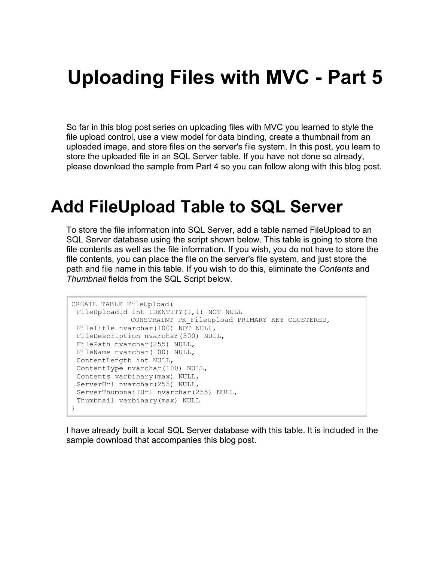# **Uploading Files with MVC - Part 5**

So far in this blog post series on uploading files with MVC you learned to style the file upload control, use a view model for data binding, create a thumbnail from an uploaded image, and store files on the server's file system. In this post, you learn to store the uploaded file in an SQL Server table. If you have not done so already, please download the sample from Part 4 so you can follow along with this blog post.

#### **Add FileUpload Table to SQL Server**

To store the file information into SQL Server, add a table named FileUpload to an SQL Server database using the script shown below. This table is going to store the file contents as well as the file information. If you wish, you do not have to store the file contents, you can place the file on the server's file system, and just store the path and file name in this table. If you wish to do this, eliminate the *Contents* and *Thumbnail* fields from the SQL Script below.

```
CREATE TABLE FileUpload(
FileUploadId int IDENTITY(1,1) NOT NULL 
             CONSTRAINT PK_FileUpload PRIMARY KEY CLUSTERED,
 FileTitle nvarchar(100) NOT NULL,
 FileDescription nvarchar(500) NULL,
 FilePath nvarchar(255) NULL,
 FileName nvarchar(100) NULL,
 ContentLength int NULL,
 ContentType nvarchar(100) NULL,
 Contents varbinary(max) NULL,
 ServerUrl nvarchar(255) NULL,
 ServerThumbnailUrl nvarchar(255) NULL,
 Thumbnail varbinary(max) NULL
)
```
I have already built a local SQL Server database with this table. It is included in the sample download that accompanies this blog post.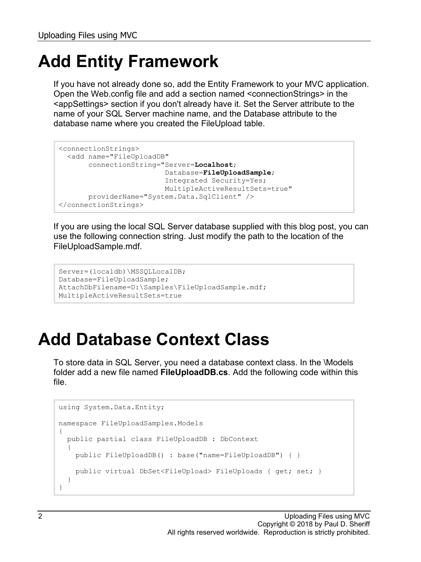## **Add Entity Framework**

If you have not already done so, add the Entity Framework to your MVC application. Open the Web.config file and add a section named <connectionStrings> in the <appSettings> section if you don't already have it. Set the Server attribute to the name of your SQL Server machine name, and the Database attribute to the database name where you created the FileUpload table.

```
<connectionStrings>
  <add name="FileUploadDB"
       connectionString="Server=Localhost;
                          Database=FileUploadSample;
                         Integrated Security=Yes;
                         MultipleActiveResultSets=true"
        providerName="System.Data.SqlClient" />
</connectionStrings>
```
If you are using the local SQL Server database supplied with this blog post, you can use the following connection string. Just modify the path to the location of the FileUploadSample.mdf.

```
Server=(localdb)\MSSQLLocalDB;
Database=FileUploadSample;
AttachDbFilename=D:\Samples\FileUploadSample.mdf;
MultipleActiveResultSets=true
```
### **Add Database Context Class**

To store data in SQL Server, you need a database context class. In the \Models folder add a new file named **FileUploadDB.cs**. Add the following code within this file.

```
using System.Data.Entity;
namespace FileUploadSamples.Models
{
  public partial class FileUploadDB : DbContext
\{ public FileUploadDB() : base("name=FileUploadDB") { }
     public virtual DbSet<FileUpload> FileUploads { get; set; }
   }
}
```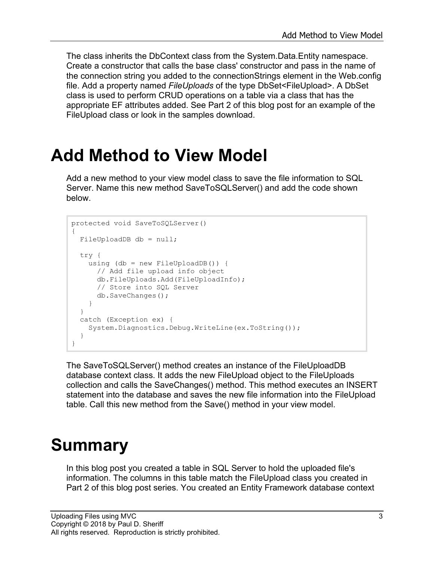The class inherits the DbContext class from the System.Data.Entity namespace. Create a constructor that calls the base class' constructor and pass in the name of the connection string you added to the connectionStrings element in the Web.config file. Add a property named *FileUploads* of the type DbSet<FileUpload>. A DbSet class is used to perform CRUD operations on a table via a class that has the appropriate EF attributes added. See Part 2 of this blog post for an example of the FileUpload class or look in the samples download.

#### **Add Method to View Model**

Add a new method to your view model class to save the file information to SQL Server. Name this new method SaveToSQLServer() and add the code shown below.

```
protected void SaveToSQLServer()
{
   FileUploadDB db = null;
  try {
    using (db = new FileUploadDB()) {
      // Add file upload info object
      db.FileUploads.Add(FileUploadInfo);
      // Store into SQL Server
       db.SaveChanges();
     }
   }
   catch (Exception ex) {
     System.Diagnostics.Debug.WriteLine(ex.ToString());
   }
}
```
The SaveToSQLServer() method creates an instance of the FileUploadDB database context class. It adds the new FileUpload object to the FileUploads collection and calls the SaveChanges() method. This method executes an INSERT statement into the database and saves the new file information into the FileUpload table. Call this new method from the Save() method in your view model.

### **Summary**

In this blog post you created a table in SQL Server to hold the uploaded file's information. The columns in this table match the FileUpload class you created in Part 2 of this blog post series. You created an Entity Framework database context